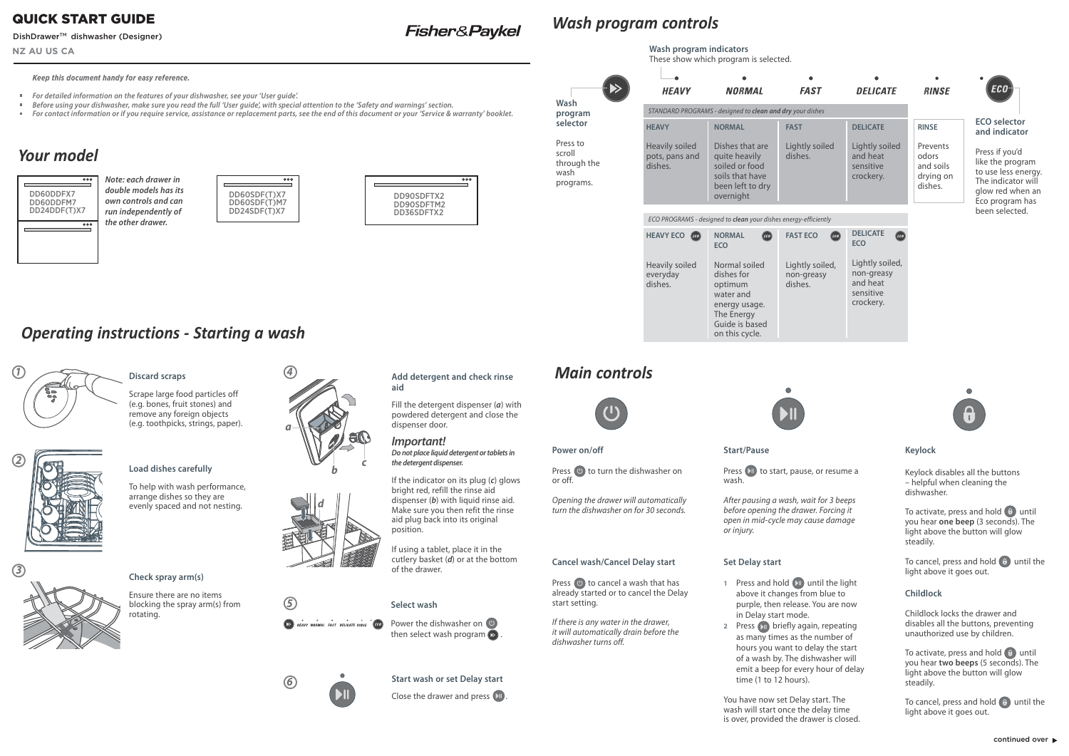# *Your model*

# *Wash program controls*

# *Operating instructions - Starting a wash*

Scrape large food particles off (e.g. bones, fruit stones) and remove any foreign objects (e.g. toothpicks, strings, paper).

## **Start wash or set Delay start**

Close the drawer and press . IT





**Add detergent and check rinse** 

**aid**

Fill the detergent dispenser (*a*) with powdered detergent and close the





dispenser door. *Important!*

> Press ( $\bullet$ ) to turn the dishwasher on or off.



*Do not place liquid detergent or tablets in*

*the detergent dispenser.*





**Press (U) to cancel a wash that has** already started or to cancel the Delay start setting.

If the indicator on its plug (*c*) glows bright red, refill the rinse aid dispenser (*b*) with liquid rinse aid. Make sure you then refit the rinse



Press (XII) to start, pause, or resume a wash.

| aid plug back into its original<br>position.                                                  |  |
|-----------------------------------------------------------------------------------------------|--|
| If using a tablet, place it in the<br>cutlery basket $(d)$ or at the bottom<br>of the drawer. |  |







*6*



*3*

## **Load dishes carefully**

- **1** Press and hold **D** until the light above it changes from blue to purple, then release. You are now in Delay start mode.
- **2** Press **Drime** briefly again, repeating as many times as the number of hours you want to delay the start of a wash by. The dishwasher will emit a beep for every hour of delay time (1 to 12 hours).

To help with wash performance, arrange dishes so they are evenly spaced and not nesting.

## **Check spray arm(s)**

Ensure there are no itemsblocking the spray arm(s) from rotating.

To activate, press and hold  $\theta$  until you hear **one beep** (3 seconds). The light above the button will glow steadily.

To cancel, press and hold  $\Theta$  until the light above it goes out.



Fisher&Paykel

## *Main controls*



#### **Power on/off**

To activate, press and hold  $\theta$  until you hear **two beeps** (5 seconds). The light above the button will glow steadily.

To cancel, press and hold  $\theta$  until the light above it goes out.

Opening the drawer will automatically turn the dishwasher on for 30 seconds.

#### **Cancel wash/Cancel Delay start**

If there is any water in the drawer, it will automatically drain before the dishwasher turns off.

### **Start/Pause**

After pausing a wash, wait for 3 beeps before opening the drawer. Forcing it open in mid-cycle may cause damage or injury.

### **Set Delay start**



|                                                        |                                                    | Wash program indicators<br>These show which program is selected.                                       |                                            |                                                                     |                                                        |                                                                                                                        |
|--------------------------------------------------------|----------------------------------------------------|--------------------------------------------------------------------------------------------------------|--------------------------------------------|---------------------------------------------------------------------|--------------------------------------------------------|------------------------------------------------------------------------------------------------------------------------|
|                                                        |                                                    |                                                                                                        |                                            |                                                                     |                                                        |                                                                                                                        |
|                                                        | <b>HEAVY</b>                                       | <b>NORMAL</b>                                                                                          | <b>FAST</b>                                | <b>DELICATE</b>                                                     | <b>RINSE</b>                                           | ECO                                                                                                                    |
| Wash<br>program                                        |                                                    | STANDARD PROGRAMS - designed to clean and dry your dishes                                              |                                            |                                                                     |                                                        |                                                                                                                        |
| selector                                               | <b>HEAVY</b>                                       | <b>NORMAL</b>                                                                                          | <b>FAST</b>                                | <b>DELICATE</b>                                                     | <b>RINSE</b>                                           | <b>ECO</b> selector<br>and indicator                                                                                   |
| Press to<br>scroll<br>through the<br>wash<br>programs. | <b>Heavily soiled</b><br>pots, pans and<br>dishes. | Dishes that are<br>quite heavily<br>soiled or food<br>soils that have<br>been left to dry<br>overnight | Lightly soiled<br>dishes.                  | Lightly soiled<br>and heat<br>sensitive<br>crockery.                | Prevents<br>odors<br>and soils<br>drying on<br>dishes. | Press if you'd<br>like the program<br>to use less energy.<br>The indicator will<br>glow red when an<br>Eco program has |
|                                                        |                                                    | ECO PROGRAMS - designed to clean your dishes energy-efficiently                                        |                                            |                                                                     |                                                        | been selected.                                                                                                         |
|                                                        | <b>HEAVY ECO</b><br>$(\text{\textit{ECO}})$        | <b>NORMAL</b><br>$(\epsilon$ co<br><b>ECO</b>                                                          | <b>FAST ECO</b><br>$(\text{\textit{ECO}})$ | <b>DELICATE</b><br>$(\epsilon c \overline{o})$<br><b>ECO</b>        |                                                        |                                                                                                                        |
|                                                        | Heavily soiled<br>everyday<br>dishes.              | Normal soiled<br>dishes for<br>optimum<br>water and<br>energy usage.<br>The Energy<br>Guide is based   | Lightly soiled,<br>non-greasy<br>dishes.   | Lightly soiled,<br>non-greasy<br>and heat<br>sensitive<br>crockery. |                                                        |                                                                                                                        |

You have now set Delay start. The wash will start once the delay time is over, provided the drawer is closed.

#### **Keylock**

Keylock disables all the buttons – helpful when cleaning the dishwasher.

#### **Childlock**

Childlock locks the drawer and disables all the buttons, preventing unauthorized use by children.



#### *Keep this document handy for easy reference.*

- *For detailed information on the features of your dishwasher, see your 'User guide'.*
- *Before using your dishwasher, make sure you read the full 'User guide', with special attention to the 'Safety and warnings' section.*
- *For contact information or if you require service, assistance or replacement parts, see the end of this document or your 'Service & warranty' booklet.*

on this cycle.

**NZ AU US CA**

## QUICK START GUIDE

### DishDrawer<sup>™</sup> dishwasher (Designer)